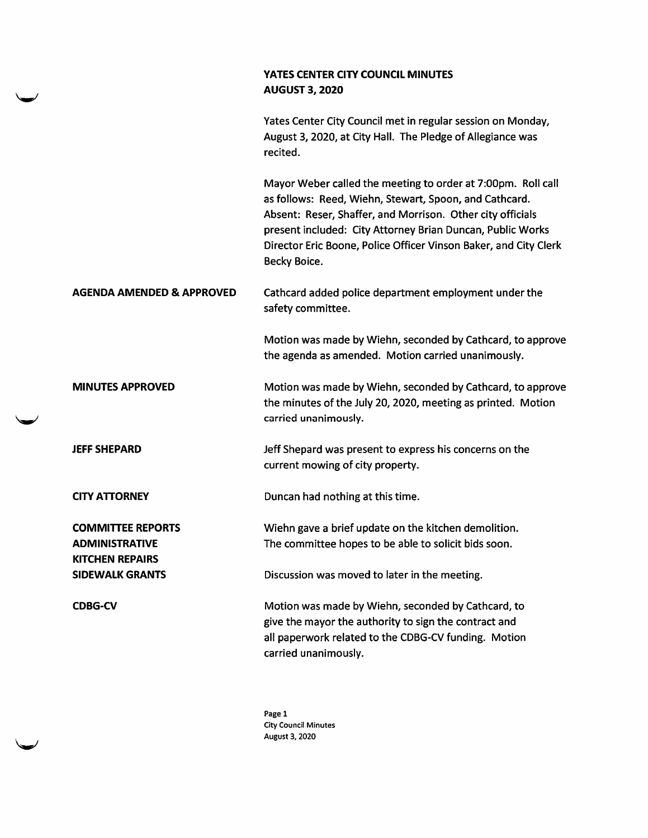|                                                                             | YATES CENTER CITY COUNCIL MINUTES<br><b>AUGUST 3, 2020</b>                                                                                                                                                                                                                                                                             |
|-----------------------------------------------------------------------------|----------------------------------------------------------------------------------------------------------------------------------------------------------------------------------------------------------------------------------------------------------------------------------------------------------------------------------------|
|                                                                             | Yates Center City Council met in regular session on Monday,<br>August 3, 2020, at City Hall. The Pledge of Allegiance was<br>recited.                                                                                                                                                                                                  |
|                                                                             | Mayor Weber called the meeting to order at 7:00pm. Roll call<br>as follows: Reed, Wiehn, Stewart, Spoon, and Cathcard.<br>Absent: Reser, Shaffer, and Morrison. Other city officials<br>present included: City Attorney Brian Duncan, Public Works<br>Director Eric Boone, Police Officer Vinson Baker, and City Clerk<br>Becky Boice. |
| <b>AGENDA AMENDED &amp; APPROVED</b>                                        | Cathcard added police department employment under the<br>safety committee.                                                                                                                                                                                                                                                             |
|                                                                             | Motion was made by Wiehn, seconded by Cathcard, to approve<br>the agenda as amended. Motion carried unanimously.                                                                                                                                                                                                                       |
| <b>MINUTES APPROVED</b>                                                     | Motion was made by Wiehn, seconded by Cathcard, to approve<br>the minutes of the July 20, 2020, meeting as printed. Motion<br>carried unanimously.                                                                                                                                                                                     |
| <b>JEFF SHEPARD</b>                                                         | Jeff Shepard was present to express his concerns on the<br>current mowing of city property.                                                                                                                                                                                                                                            |
| <b>CITY ATTORNEY</b>                                                        | Duncan had nothing at this time.                                                                                                                                                                                                                                                                                                       |
| <b>COMMITTEE REPORTS</b><br><b>ADMINISTRATIVE</b><br><b>KITCHEN REPAIRS</b> | Wiehn gave a brief update on the kitchen demolition.<br>The committee hopes to be able to solicit bids soon.                                                                                                                                                                                                                           |
| <b>SIDEWALK GRANTS</b>                                                      | Discussion was moved to later in the meeting.                                                                                                                                                                                                                                                                                          |
| <b>CDBG-CV</b>                                                              | Motion was made by Wiehn, seconded by Cathcard, to<br>give the mayor the authority to sign the contract and<br>all paperwork related to the CDBG-CV funding. Motion<br>carried unanimously.                                                                                                                                            |

سا

w

Page 1 City Council Minutes August 3, 2020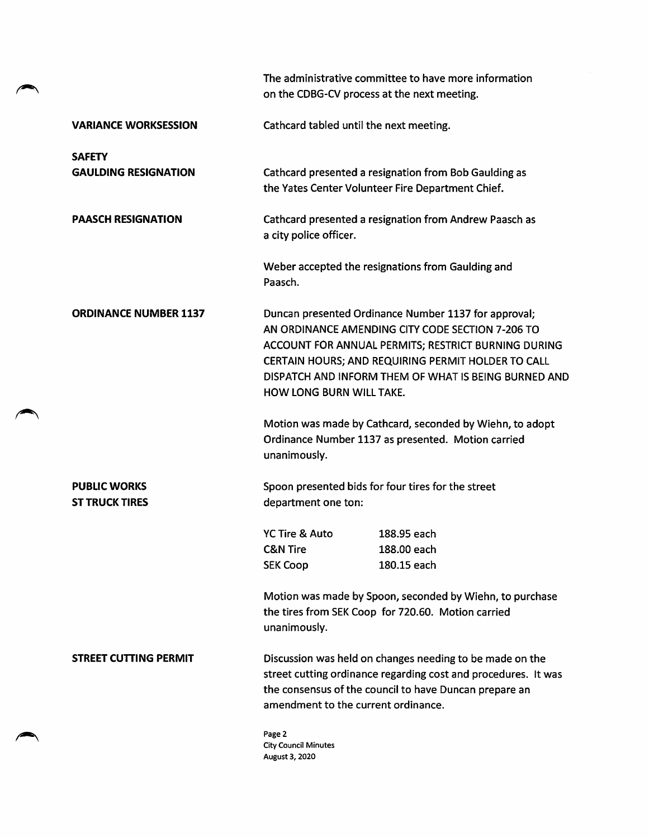|                                              | The administrative committee to have more information<br>on the CDBG-CV process at the next meeting.                                                                                                                                                                                                             |  |
|----------------------------------------------|------------------------------------------------------------------------------------------------------------------------------------------------------------------------------------------------------------------------------------------------------------------------------------------------------------------|--|
| <b>VARIANCE WORKSESSION</b>                  | Cathcard tabled until the next meeting.                                                                                                                                                                                                                                                                          |  |
| <b>SAFETY</b>                                |                                                                                                                                                                                                                                                                                                                  |  |
| <b>GAULDING RESIGNATION</b>                  | Cathcard presented a resignation from Bob Gaulding as<br>the Yates Center Volunteer Fire Department Chief.                                                                                                                                                                                                       |  |
| <b>PAASCH RESIGNATION</b>                    | Cathcard presented a resignation from Andrew Paasch as<br>a city police officer.                                                                                                                                                                                                                                 |  |
|                                              | Weber accepted the resignations from Gaulding and<br>Paasch.                                                                                                                                                                                                                                                     |  |
| <b>ORDINANCE NUMBER 1137</b>                 | Duncan presented Ordinance Number 1137 for approval;<br>AN ORDINANCE AMENDING CITY CODE SECTION 7-206 TO<br>ACCOUNT FOR ANNUAL PERMITS; RESTRICT BURNING DURING<br>CERTAIN HOURS; AND REQUIRING PERMIT HOLDER TO CALL<br>DISPATCH AND INFORM THEM OF WHAT IS BEING BURNED AND<br><b>HOW LONG BURN WILL TAKE.</b> |  |
|                                              | Motion was made by Cathcard, seconded by Wiehn, to adopt<br>Ordinance Number 1137 as presented. Motion carried<br>unanimously.                                                                                                                                                                                   |  |
| <b>PUBLIC WORKS</b><br><b>ST TRUCK TIRES</b> | Spoon presented bids for four tires for the street<br>department one ton:                                                                                                                                                                                                                                        |  |
|                                              | YC Tire & Auto<br>188.95 each                                                                                                                                                                                                                                                                                    |  |
|                                              | <b>C&amp;N Tire</b><br>188.00 each                                                                                                                                                                                                                                                                               |  |
|                                              | 180.15 each<br><b>SEK Coop</b>                                                                                                                                                                                                                                                                                   |  |
|                                              | Motion was made by Spoon, seconded by Wiehn, to purchase<br>the tires from SEK Coop for 720.60. Motion carried<br>unanimously.                                                                                                                                                                                   |  |
| STREET CUTTING PERMIT                        | Discussion was held on changes needing to be made on the<br>street cutting ordinance regarding cost and procedures. It was<br>the consensus of the council to have Duncan prepare an<br>amendment to the current ordinance.                                                                                      |  |
|                                              | Page 2<br><b>City Council Minutes</b><br>August 3, 2020                                                                                                                                                                                                                                                          |  |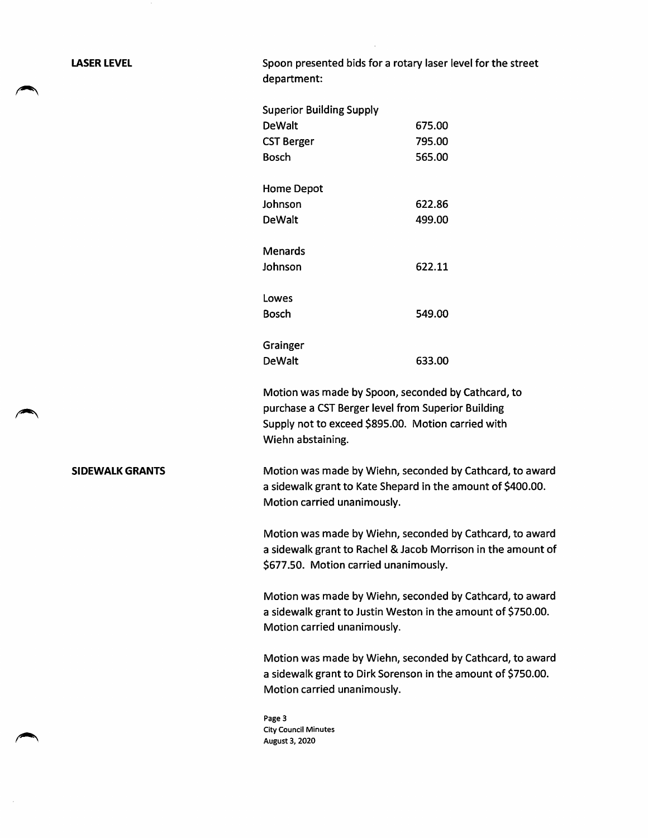LASER LEVEL **Spoon presented bids for a rotary laser level for the street** department:

| <b>Superior Building Supply</b> |        |
|---------------------------------|--------|
| DeWalt                          | 675.00 |
| CST Berger                      | 795.00 |
| <b>Bosch</b>                    | 565.00 |
|                                 |        |
| Home Depot                      |        |
| Johnson                         | 622.86 |
| DeWalt                          | 499.00 |
| Menards                         |        |
| Johnson                         | 622.11 |
| Lowes                           |        |
| Bosch                           | 549.00 |
|                                 |        |
| Grainger                        |        |
| DeWalt                          | 633.00 |

Motion was made by Spoon, seconded by Cathcard, to purchase a CST Berger level from Superior Building Supply not to exceed \$895.00. Motion carried with Wiehn abstaining.

SIDEWALK GRANTS Motion was made by Wiehn, seconded by Cathcard, to award a sidewalk grant to Kate Shepard in the amount of \$400.00. Motion carried unanimously.

> Motion was made by Wiehn, seconded by Cathcard, to award a sidewalk grant to Rachel & Jacob Morrison in the amount of \$677.50. Motion carried unanimously.

> Motion was made by Wiehn, seconded by Cathcard, to award a sidewalk grant to Justin Weston in the amount of \$750.00. Motion carried unanimously.

> Motion was made by Wiehn, seconded by Cathcard, to award a sidewalk grant to Dirk Sorenson in the amount of \$750.00. Motion carried unanimously.

Page 3 City Council Minutes August 3, 2020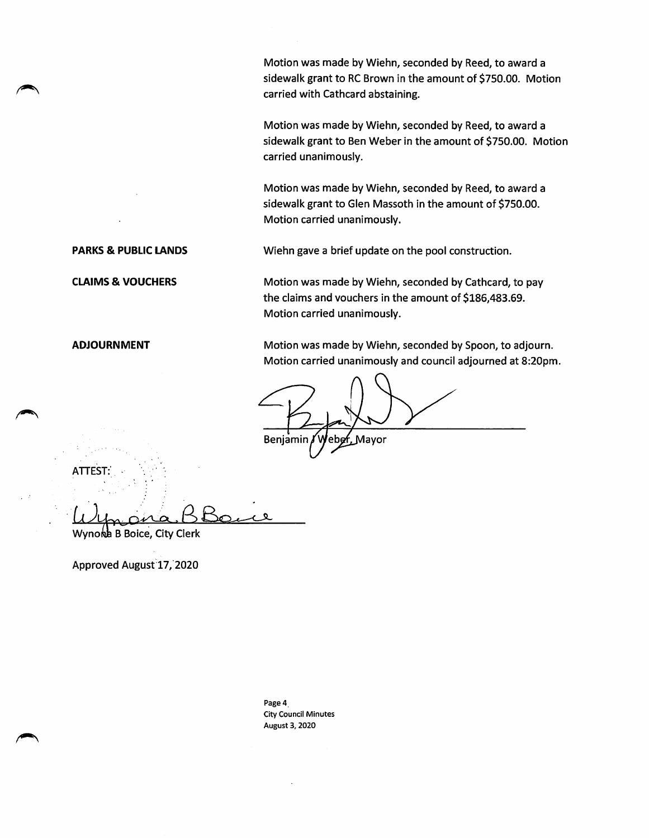Motion was made by WIehn, seconded by Reed, to award a sidewalk grant to RC Brown in the amount of \$750.00. Motion carried with Cathcard abstaining.

Motion was made by Wiehn, seconded by Reed, to award a sidewalk grant to Ben Weber in the amount of \$750.00. Motion carried unanimously.

Motion was made by Wiehn, seconded by Reed, to award a sidewalk grant to Glen Massoth in the amount of \$750.00. Motion carried unanimously.

PARKS & PUBLIC LANDS Wiehn gave a brief update on the pool construction.

CLAIMS & VOUCHERS Motion was made by Wiehn, seconded by Cathcard, to pay the claims and vouchers in the amount of \$186,483.69. Motion carried unanimously.

ADJOURNMENT Motion was made by Wiehn, seconded by Spoon, to adjourn. Motion carried unanimously and council adjourned at 8:20pm.

Benjamin / Weber, Mayor

ATTEST:  $\mu$ 

Wynord B Boice, City Clerk

Approved August 17, 2020

Page 4 City Council Minutes August 3, 2020